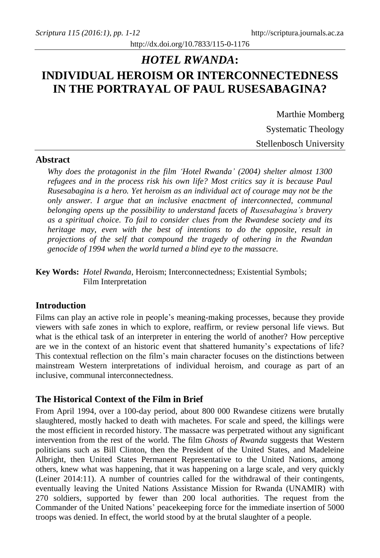# http://dx.doi.org/10.7833/115-0-1176

# *HOTEL RWANDA***: INDIVIDUAL HEROISM OR INTERCONNECTEDNESS IN THE PORTRAYAL OF PAUL RUSESABAGINA?**

Marthie Momberg Systematic Theology Stellenbosch University

# **Abstract**

*Why does the protagonist in the film 'Hotel Rwanda' (2004) shelter almost 1300 refugees and in the process risk his own life? Most critics say it is because Paul Rusesabagina is a hero. Yet heroism as an individual act of courage may not be the only answer. I argue that an inclusive enactment of interconnected, communal belonging opens up the possibility to understand facets of Rusesabagina's bravery as a spiritual choice. To fail to consider clues from the Rwandese society and its heritage may, even with the best of intentions to do the opposite, result in projections of the self that compound the tragedy of othering in the Rwandan genocide of 1994 when the world turned a blind eye to the massacre.*

**Key Words:** *Hotel Rwanda*, Heroism; Interconnectedness; Existential Symbols; Film Interpretation

## **Introduction**

Films can play an active role in people's meaning-making processes, because they provide viewers with safe zones in which to explore, reaffirm, or review personal life views. But what is the ethical task of an interpreter in entering the world of another? How perceptive are we in the context of an historic event that shattered humanity's expectations of life? This contextual reflection on the film's main character focuses on the distinctions between mainstream Western interpretations of individual heroism, and courage as part of an inclusive, communal interconnectedness.

# **The Historical Context of the Film in Brief**

From April 1994, over a 100-day period, about 800 000 Rwandese citizens were brutally slaughtered, mostly hacked to death with machetes. For scale and speed, the killings were the most efficient in recorded history. The massacre was perpetrated without any significant intervention from the rest of the world. The film *Ghosts of Rwanda* suggests that Western politicians such as Bill Clinton, then the President of the United States, and Madeleine Albright, then United States [Permanent Representative to the United Nations,](http://en.wikipedia.org/wiki/UN_Permanent_Representative) among others, knew what was happening, that it was happening on a large scale, and very quickly (Leiner 2014:11). A number of countries called for the withdrawal of their contingents, eventually leaving the United Nations Assistance Mission for Rwanda (UNAMIR) with 270 soldiers, supported by fewer than 200 local authorities. The request from the Commander of the United Nations' peacekeeping force for the immediate insertion of 5000 troops was denied. In effect, the world stood by at the brutal slaughter of a people.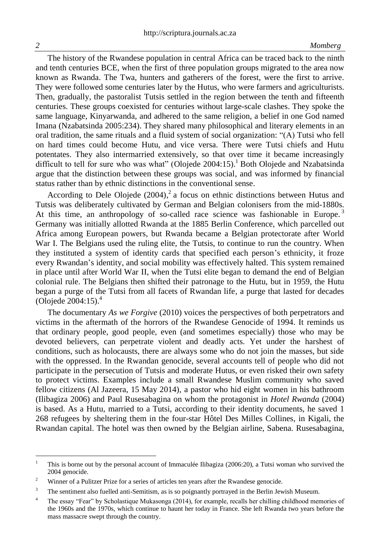The history of the Rwandese population in central Africa can be traced back to the ninth and tenth centuries BCE, when the first of three population groups migrated to the area now known as Rwanda. The Twa, hunters and gatherers of the forest, were the first to arrive. They were followed some centuries later by the Hutus, who were farmers and agriculturists. Then, gradually, the pastoralist Tutsis settled in the region between the tenth and fifteenth centuries. These groups coexisted for centuries without large-scale clashes. They spoke the same language, Kinyarwanda, and adhered to the same religion, a belief in one God named Imana (Nzabatsinda 2005:234). They shared many philosophical and literary elements in an oral tradition, the same rituals and a fluid system of social organization: "(A) Tutsi who fell on hard times could become Hutu, and vice versa. There were Tutsi chiefs and Hutu potentates. They also intermarried extensively, so that over time it became increasingly difficult to tell for sure who was what" (Olojede 2004:15). <sup>1</sup> Both Olojede and Nzabatsinda argue that the distinction between these groups was social, and was informed by financial status rather than by ethnic distinctions in the conventional sense.

According to Dele Olojede  $(2004)$ , a focus on ethnic distinctions between Hutus and Tutsis was deliberately cultivated by German and Belgian colonisers from the mid-1880s. At this time, an anthropology of so-called race science was fashionable in Europe.<sup>3</sup> Germany was initially allotted Rwanda at the 1885 Berlin Conference, which parcelled out Africa among European powers, but Rwanda became a Belgian protectorate after World War I. The Belgians used the ruling elite, the Tutsis, to continue to run the country. When they instituted a system of identity cards that specified each person's ethnicity, it froze every Rwandan's identity, and social mobility was effectively halted. This system remained in place until after World War II, when the Tutsi elite began to demand the end of Belgian colonial rule. The Belgians then shifted their patronage to the Hutu, but in 1959, the Hutu began a purge of the Tutsi from all facets of Rwandan life, a purge that lasted for decades (Olojede 2004:15). 4

The documentary *As we Forgive* (2010) voices the perspectives of both perpetrators and victims in the aftermath of the horrors of the Rwandese Genocide of 1994. It reminds us that ordinary people, good people, even (and sometimes especially) those who may be devoted believers, can perpetrate violent and deadly acts. Yet under the harshest of conditions, such as holocausts, there are always some who do not join the masses, but side with the oppressed. In the Rwandan genocide, several accounts tell of people who did not participate in the persecution of Tutsis and moderate Hutus, or even risked their own safety to protect victims. Examples include a small Rwandese Muslim community who saved fellow citizens (Al Jazeera, 15 May 2014), a pastor who hid eight women in his bathroom (Ilibagiza 2006) and Paul Rusesabagina on whom the protagonist in *Hotel Rwanda* (2004) is based. As a Hutu, married to a Tutsi, according to their identity documents, he saved 1 268 refugees by sheltering them in the four-star Hôtel Des Milles Collines, in Kigali, the Rwandan capital. The hotel was then owned by the Belgian airline, Sabena. Rusesabagina,

 $\overline{a}$ 

<sup>&</sup>lt;sup>1</sup> This is borne out by the personal account of Immaculée Ilibagiza (2006:20), a Tutsi woman who survived the 2004 genocide.

<sup>&</sup>lt;sup>2</sup> Winner of a Pulitzer Prize for a series of articles ten years after the Rwandese genocide.

<sup>&</sup>lt;sup>3</sup> The sentiment also fuelled anti-Semitism, as is so poignantly portrayed in the Berlin Jewish Museum.

<sup>&</sup>lt;sup>4</sup> The essay "Fear" by Scholastique Mukasonga (2014), for example, recalls her chilling childhood memories of the 1960s and the 1970s, which continue to haunt her today in France. She left Rwanda two years before the mass massacre swept through the country.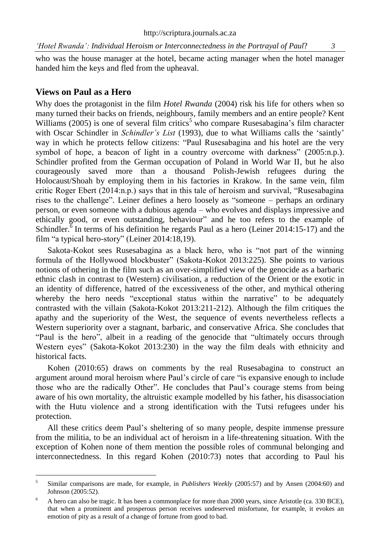who was the house manager at the hotel, became acting manager when the hotel manager handed him the keys and fled from the upheaval.

### **Views on Paul as a Hero**

 $\overline{a}$ 

Why does the protagonist in the film *Hotel Rwanda* (2004) risk his life for others when so many turned their backs on friends, neighbours, family members and an entire people? Kent Williams (2005) is one of several film critics<sup>5</sup> who compare Rusesabagina's film character with Oscar Schindler in *Schindler's List* (1993), due to what Williams calls the 'saintly' way in which he protects fellow citizens: "Paul Rusesabagina and his hotel are the very symbol of hope, a beacon of light in a country overcome with darkness" (2005:n.p.). Schindler profited from the German occupation of Poland in World War II, but he also courageously saved more than a thousand Polish-Jewish refugees during the Holocaust/Shoah by employing them in his factories in Krakow. In the same vein, film critic Roger Ebert (2014:n.p.) says that in this tale of heroism and survival, "Rusesabagina rises to the challenge". Leiner defines a hero loosely as "someone – perhaps an ordinary person, or even someone with a dubious agenda – who evolves and displays impressive and ethically good, or even outstanding, behaviour" and he too refers to the example of Schindler.<sup>6</sup> In terms of his definition he regards Paul as a hero (Leiner 2014:15-17) and the film "a typical hero-story" (Leiner 2014:18,19).

Sakota-Kokot sees Rusesabagina as a black hero, who is "not part of the winning formula of the Hollywood blockbuster" (Sakota-Kokot 2013:225). She points to various notions of othering in the film such as an over-simplified view of the genocide as a barbaric ethnic clash in contrast to (Western) civilisation, a reduction of the Orient or the exotic in an identity of difference, hatred of the excessiveness of the other, and mythical othering whereby the hero needs "exceptional status within the narrative" to be adequately contrasted with the villain (Sakota-Kokot 2013:211-212). Although the film critiques the apathy and the superiority of the West, the sequence of events nevertheless reflects a Western superiority over a stagnant, barbaric, and conservative Africa. She concludes that "Paul is the hero", albeit in a reading of the genocide that "ultimately occurs through Western eyes" (Sakota-Kokot 2013:230) in the way the film deals with ethnicity and historical facts.

Kohen (2010:65) draws on comments by the real Rusesabagina to construct an argument around moral heroism where Paul's circle of care "is expansive enough to include those who are the radically Other". He concludes that Paul's courage stems from being aware of his own mortality, the altruistic example modelled by his father, his disassociation with the Hutu violence and a strong identification with the Tutsi refugees under his protection.

All these critics deem Paul's sheltering of so many people, despite immense pressure from the militia, to be an individual act of heroism in a life-threatening situation. With the exception of Kohen none of them mention the possible roles of communal belonging and interconnectedness. In this regard Kohen (2010:73) notes that according to Paul his

<sup>5</sup> Similar comparisons are made, for example, in *Publishers Weekly* (2005:57) and by Ansen (2004:60) and Johnson (2005:52).

<sup>&</sup>lt;sup>6</sup> A hero can also be tragic. It has been a commonplace for more than 2000 years, since Aristotle (ca. 330 BCE), that when a prominent and prosperous person receives undeserved misfortune, for example, it evokes an emotion of pity as a result of a change of fortune from good to bad.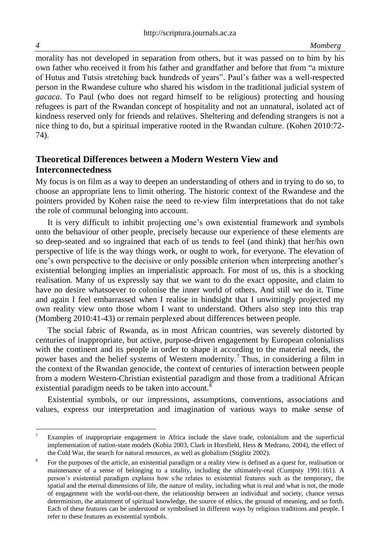morality has not developed in separation from others, but it was passed on to him by his own father who received it from his father and grandfather and before that from "a mixture of Hutus and Tutsis stretching back hundreds of years". Paul's father was a well-respected person in the Rwandese culture who shared his wisdom in the traditional judicial system of *gacaca*. To Paul (who does not regard himself to be religious) protecting and housing refugees is part of the Rwandan concept of hospitality and not an unnatural, isolated act of kindness reserved only for friends and relatives. Sheltering and defending strangers is not a nice thing to do, but a spiritual imperative rooted in the Rwandan culture. (Kohen 2010:72- 74).

# **Theoretical Differences between a Modern Western View and Interconnectedness**

My focus is on film as a way to deepen an understanding of others and in trying to do so, to choose an appropriate lens to limit othering. The historic context of the Rwandese and the pointers provided by Kohen raise the need to re-view film interpretations that do not take the role of communal belonging into account.

It is very difficult to inhibit projecting one's own existential framework and symbols onto the behaviour of other people, precisely because our experience of these elements are so deep-seated and so ingrained that each of us tends to feel (and think) that her/his own perspective of life is the way things work, or ought to work, for everyone. The elevation of one's own perspective to the decisive or only possible criterion when interpreting another's existential belonging implies an imperialistic approach. For most of us, this is a shocking realisation. Many of us expressly say that we want to do the exact opposite, and claim to have no desire whatsoever to colonise the inner world of others. And still we do it. Time and again I feel embarrassed when I realise in hindsight that I unwittingly projected my own reality view onto those whom I want to understand. Others also step into this trap (Momberg 2010:41-43) or remain perplexed about differences between people.

The social fabric of Rwanda, as in most African countries, was severely distorted by centuries of inappropriate, but active, purpose-driven engagement by European colonialists with the continent and its people in order to shape it according to the material needs, the power bases and the belief systems of Western modernity.<sup>7</sup> Thus, in considering a film in the context of the Rwandan genocide, the context of centuries of interaction between people from a modern Western-Christian existential paradigm and those from a traditional African existential paradigm needs to be taken into account.<sup>8</sup>

Existential symbols, or our impressions, assumptions, conventions, associations and values, express our interpretation and imagination of various ways to make sense of

 $\overline{7}$ Examples of inappropriate engagement in Africa include the slave trade, colonialism and the superficial implementation of nation-state models (Kobia 2003, Clark in Horsfield, Hess & Medrano, 2004), the effect of the Cold War, the search for natural resources, as well as globalism (Stiglitz 2002).

<sup>8</sup> For the purposes of the article, an existential paradigm or a reality view is defined as a quest for, realisation or maintenance of a sense of belonging to a totality, including the ultimately-real (Cumpsty 1991:161). A person's existential paradigm explains how s/he relates to existential features such as the temporary, the spatial and the eternal dimensions of life, the nature of reality, including what is real and what is not, the mode of engagement with the world-out-there, the relationship between an individual and society, chance versus determinism, the attainment of spiritual knowledge, the source of ethics, the ground of meaning, and so forth. Each of these features can be understood or symbolised in different ways by religious traditions and people. I refer to these features as existential symbols.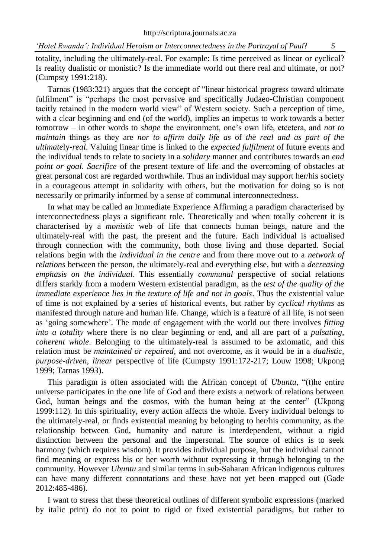totality, including the ultimately-real. For example: Is time perceived as linear or cyclical? Is reality dualistic or monistic? Is the immediate world out there real and ultimate, or not? (Cumpsty 1991:218).

Tarnas (1983:321) argues that the concept of "linear historical progress toward ultimate fulfilment" is "perhaps the most pervasive and specifically Judaeo-Christian component tacitly retained in the modern world view" of Western society. Such a perception of time, with a clear beginning and end (of the world), implies an impetus to work towards a better tomorrow – in other words to *shape* the environment, one's own life, etcetera, and *not to maintain* things as they are *nor to affirm daily life as* of *the real and as part of the ultimate*ly-*real*. Valuing linear time is linked to the *expected fulfilment* of future events and the individual tends to relate to society in a *solidary* manner and contributes towards an *end point or goal*. *Sacrifice* of the present texture of life and the overcoming of obstacles at great personal cost are regarded worthwhile. Thus an individual may support her/his society in a courageous attempt in solidarity with others, but the motivation for doing so is not necessarily or primarily informed by a sense of communal interconnectedness.

In what may be called an Immediate Experience Affirming a paradigm characterised by interconnectedness plays a significant role. Theoretically and when totally coherent it is characterised by a *monistic* web of life that connects human beings, nature and the ultimately-real with the past, the present and the future. Each individual is actualised through connection with the community, both those living and those departed. Social relations begin with the *individual in the centre* and from there move out to a *network of relations* between the person, the ultimately-real and everything else, but with a *decreasing emphasis on the individual*. This essentially *communal* perspective of social relations differs starkly from a modern Western existential paradigm, as the *test of the quality of the immediate experience lies in the texture of life and not in goals*. Thus the existential value of time is not explained by a series of historical events, but rather by *cyclical rhythms* as manifested through nature and human life. Change, which is a feature of all life, is not seen as 'going somewhere'. The mode of engagement with the world out there involves *fitting into a totality* where there is no clear beginning or end, and all are part of a *pulsating, coherent whole*. Belonging to the ultimately-real is assumed to be axiomatic, and this relation must be *maintained or repaired*, and not overcome, as it would be in a *dualistic, purpose-driven, linear* perspective of life (Cumpsty 1991:172-217; Louw 1998; Ukpong 1999; Tarnas 1993).

This paradigm is often associated with the African concept of *Ubuntu*, "(t)he entire universe participates in the one life of God and there exists a network of relations between God, human beings and the cosmos, with the human being at the center" (Ukpong 1999:112). In this spirituality, every action affects the whole. Every individual belongs to the ultimately-real, or finds existential meaning by belonging to her/his community, as the relationship between God, humanity and nature is interdependent, without a rigid distinction between the personal and the impersonal. The source of ethics is to seek harmony (which requires wisdom). It provides individual purpose, but the individual cannot find meaning or express his or her worth without expressing it through belonging to the community. However *Ubuntu* and similar terms in sub-Saharan African indigenous cultures can have many different connotations and these have not yet been mapped out (Gade 2012:485-486).

I want to stress that these theoretical outlines of different symbolic expressions (marked by italic print) do not to point to rigid or fixed existential paradigms, but rather to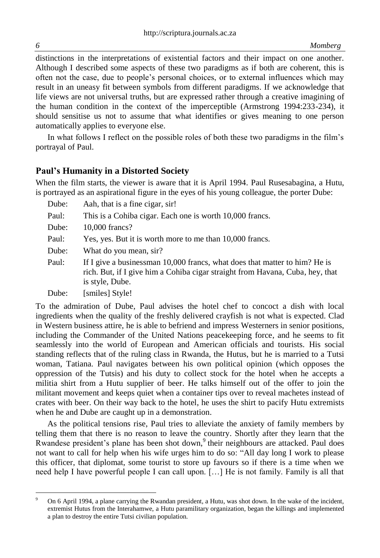distinctions in the interpretations of existential factors and their impact on one another. Although I described some aspects of these two paradigms as if both are coherent, this is often not the case, due to people's personal choices, or to external influences which may result in an uneasy fit between symbols from different paradigms. If we acknowledge that life views are not universal truths, but are expressed rather through a creative imagining of the human condition in the context of the imperceptible (Armstrong 1994:233-234), it should sensitise us not to assume that what identifies or gives meaning to one person automatically applies to everyone else.

In what follows I reflect on the possible roles of both these two paradigms in the film's portrayal of Paul.

# **Paul's Humanity in a Distorted Society**

When the film starts, the viewer is aware that it is April 1994. Paul Rusesabagina, a Hutu, is portrayed as an aspirational figure in the eyes of his young colleague, the porter Dube:

- Dube: Aah, that is a fine cigar, sir! Paul: This is a Cohiba cigar. Each one is worth 10,000 francs. Dube: 10,000 francs? Paul: Yes, yes. But it is worth more to me than 10,000 francs. Dube: What do you mean, sir? Paul: If I give a businessman 10,000 francs, what does that matter to him? He is rich. But, if I give him a Cohiba cigar straight from Havana, Cuba, hey, that is style, Dube.
- Dube: [smiles] Style!

To the admiration of Dube, Paul advises the hotel chef to concoct a dish with local ingredients when the quality of the freshly delivered crayfish is not what is expected. Clad in Western business attire, he is able to befriend and impress Westerners in senior positions, including the Commander of the United Nations peacekeeping force, and he seems to fit seamlessly into the world of European and American officials and tourists. His social standing reflects that of the ruling class in Rwanda, the Hutus, but he is married to a Tutsi woman, Tatiana. Paul navigates between his own political opinion (which opposes the oppression of the Tutsis) and his duty to collect stock for the hotel when he accepts a militia shirt from a Hutu supplier of beer. He talks himself out of the offer to join the militant movement and keeps quiet when a container tips over to reveal machetes instead of crates with beer. On their way back to the hotel, he uses the shirt to pacify Hutu extremists when he and Dube are caught up in a demonstration.

As the political tensions rise, Paul tries to alleviate the anxiety of family members by telling them that there is no reason to leave the country. Shortly after they learn that the Rwandese president's plane has been shot down,<sup>9</sup> their neighbours are attacked. Paul does not want to call for help when his wife urges him to do so: "All day long I work to please this officer, that diplomat, some tourist to store up favours so if there is a time when we need help I have powerful people I can call upon. […] He is not family. Family is all that

 $\overline{a}$ 

<sup>9</sup> On 6 April 1994, a plane carrying the Rwandan president, a Hutu, was shot down. In the wake of the incident, extremist Hutus from the Interahamwe, a Hutu paramilitary organization, began the killings and implemented a plan to destroy the entire Tutsi civilian population.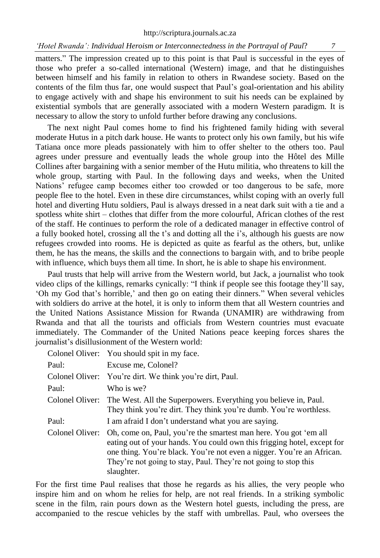matters." The impression created up to this point is that Paul is successful in the eyes of those who prefer a so-called international (Western) image, and that he distinguishes between himself and his family in relation to others in Rwandese society. Based on the contents of the film thus far, one would suspect that Paul's goal-orientation and his ability to engage actively with and shape his environment to suit his needs can be explained by existential symbols that are generally associated with a modern Western paradigm. It is necessary to allow the story to unfold further before drawing any conclusions.

The next night Paul comes home to find his frightened family hiding with several moderate Hutus in a pitch dark house. He wants to protect only his own family, but his wife Tatiana once more pleads passionately with him to offer shelter to the others too. Paul agrees under pressure and eventually leads the whole group into the Hôtel des Mille Collines after bargaining with a senior member of the Hutu militia, who threatens to kill the whole group, starting with Paul. In the following days and weeks, when the United Nations' refugee camp becomes either too crowded or too dangerous to be safe, more people flee to the hotel. Even in these dire circumstances, whilst coping with an overly full hotel and diverting Hutu soldiers, Paul is always dressed in a neat dark suit with a tie and a spotless white shirt – clothes that differ from the more colourful, African clothes of the rest of the staff. He continues to perform the role of a dedicated manager in effective control of a fully booked hotel, crossing all the t's and dotting all the i's, although his guests are now refugees crowded into rooms. He is depicted as quite as fearful as the others, but, unlike them, he has the means, the skills and the connections to bargain with, and to bribe people with influence, which buys them all time. In short, he is able to shape his environment.

Paul trusts that help will arrive from the Western world, but Jack, a journalist who took video clips of the killings, remarks cynically: "I think if people see this footage they'll say, 'Oh my God that's horrible,' and then go on eating their dinners." When several vehicles with soldiers do arrive at the hotel, it is only to inform them that all Western countries and the United Nations Assistance Mission for Rwanda (UNAMIR) are withdrawing from Rwanda and that all the tourists and officials from Western countries must evacuate immediately. The Commander of the United Nations peace keeping forces shares the journalist's disillusionment of the Western world:

|                 | Colonel Oliver: You should spit in my face.                                                                                                                                                                                                                                                           |
|-----------------|-------------------------------------------------------------------------------------------------------------------------------------------------------------------------------------------------------------------------------------------------------------------------------------------------------|
| Paul:           | Excuse me, Colonel?                                                                                                                                                                                                                                                                                   |
|                 | Colonel Oliver: You're dirt. We think you're dirt, Paul.                                                                                                                                                                                                                                              |
| Paul:           | Who is we?                                                                                                                                                                                                                                                                                            |
|                 | Colonel Oliver: The West. All the Superpowers. Everything you believe in, Paul.<br>They think you're dirt. They think you're dumb. You're worthless.                                                                                                                                                  |
| Paul:           | I am afraid I don't understand what you are saying.                                                                                                                                                                                                                                                   |
| Colonel Oliver: | Oh, come on, Paul, you're the smartest man here. You got 'em all<br>eating out of your hands. You could own this frigging hotel, except for<br>one thing. You're black. You're not even a nigger. You're an African.<br>They're not going to stay, Paul. They're not going to stop this<br>slaughter. |

For the first time Paul realises that those he regards as his allies, the very people who inspire him and on whom he relies for help, are not real friends. In a striking symbolic scene in the film, rain pours down as the Western hotel guests, including the press, are accompanied to the rescue vehicles by the staff with umbrellas. Paul, who oversees the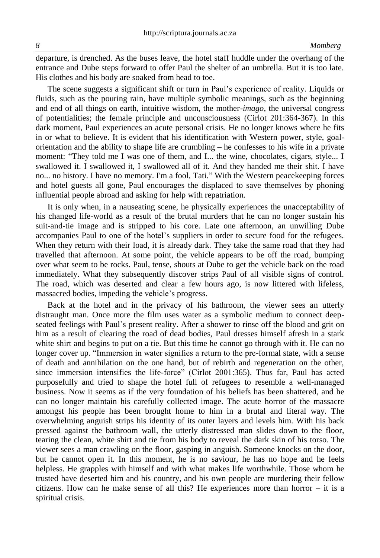departure, is drenched. As the buses leave, the hotel staff huddle under the overhang of the entrance and Dube steps forward to offer Paul the shelter of an umbrella. But it is too late. His clothes and his body are soaked from head to toe.

The scene suggests a significant shift or turn in Paul's experience of reality. Liquids or fluids, such as the pouring rain, have multiple symbolic meanings, such as the beginning and end of all things on earth, intuitive wisdom, the mother-*imago,* the universal congress of potentialities; the female principle and unconsciousness (Cirlot 201:364-367). In this dark moment, Paul experiences an acute personal crisis. He no longer knows where he fits in or what to believe. It is evident that his identification with Western power, style, goalorientation and the ability to shape life are crumbling – he confesses to his wife in a private moment: "They told me I was one of them, and I... the wine, chocolates, cigars, style... I swallowed it. I swallowed it, I swallowed all of it. And they handed me their shit. I have no... no history. I have no memory. I'm a fool, Tati." With the Western peacekeeping forces and hotel guests all gone, Paul encourages the displaced to save themselves by phoning influential people abroad and asking for help with repatriation.

It is only when, in a nauseating scene, he physically experiences the unacceptability of his changed life-world as a result of the brutal murders that he can no longer sustain his suit-and-tie image and is stripped to his core. Late one afternoon, an unwilling Dube accompanies Paul to one of the hotel's suppliers in order to secure food for the refugees. When they return with their load, it is already dark. They take the same road that they had travelled that afternoon. At some point, the vehicle appears to be off the road, bumping over what seem to be rocks. Paul, tense, shouts at Dube to get the vehicle back on the road immediately. What they subsequently discover strips Paul of all visible signs of control. The road, which was deserted and clear a few hours ago, is now littered with lifeless, massacred bodies, impeding the vehicle's progress.

Back at the hotel and in the privacy of his bathroom, the viewer sees an utterly distraught man. Once more the film uses water as a symbolic medium to connect deepseated feelings with Paul's present reality. After a shower to rinse off the blood and grit on him as a result of clearing the road of dead bodies, Paul dresses himself afresh in a stark white shirt and begins to put on a tie. But this time he cannot go through with it. He can no longer cover up. "Immersion in water signifies a return to the pre-formal state, with a sense of death and annihilation on the one hand, but of rebirth and regeneration on the other, since immersion intensifies the life-force" (Cirlot 2001:365). Thus far, Paul has acted purposefully and tried to shape the hotel full of refugees to resemble a well-managed business. Now it seems as if the very foundation of his beliefs has been shattered, and he can no longer maintain his carefully collected image. The acute horror of the massacre amongst his people has been brought home to him in a brutal and literal way. The overwhelming anguish strips his identity of its outer layers and levels him. With his back pressed against the bathroom wall, the utterly distressed man slides down to the floor, tearing the clean, white shirt and tie from his body to reveal the dark skin of his torso. The viewer sees a man crawling on the floor, gasping in anguish. Someone knocks on the door, but he cannot open it. In this moment, he is no saviour, he has no hope and he feels helpless. He grapples with himself and with what makes life worthwhile. Those whom he trusted have deserted him and his country, and his own people are murdering their fellow citizens. How can he make sense of all this? He experiences more than horror  $-$  it is a spiritual crisis.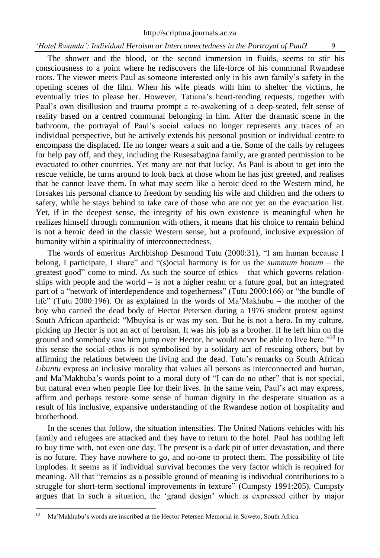The shower and the blood, or the second immersion in fluids, seems to stir his consciousness to a point where he rediscovers the life-force of his communal Rwandese roots. The viewer meets Paul as someone interested only in his own family's safety in the opening scenes of the film. When his wife pleads with him to shelter the victims, he eventually tries to please her. However, Tatiana's heart-rending requests, together with Paul's own disillusion and trauma prompt a re-awakening of a deep-seated, felt sense of reality based on a centred communal belonging in him. After the dramatic scene in the bathroom, the portrayal of Paul's social values no longer represents any traces of an individual perspective, but he actively extends his personal position or individual centre to encompass the displaced. He no longer wears a suit and a tie. Some of the calls by refugees for help pay off, and they, including the Rusesabagina family, are granted permission to be evacuated to other countries. Yet many are not that lucky. As Paul is about to get into the rescue vehicle, he turns around to look back at those whom he has just greeted, and realises that he cannot leave them. In what may seem like a heroic deed to the Western mind, he forsakes his personal chance to freedom by sending his wife and children and the others to safety, while he stays behind to take care of those who are not yet on the evacuation list. Yet, if in the deepest sense, the integrity of his own existence is meaningful when he realizes himself through communion with others, it means that his choice to remain behind is not a heroic deed in the classic Western sense, but a profound, inclusive expression of humanity within a spirituality of interconnectedness.

The words of emeritus Archbishop Desmond Tutu (2000:31), "I am human because I belong, I participate, I share" and "(s)ocial harmony is for us the *summum bonum* – the greatest good" come to mind. As such the source of ethics – that which governs relationships with people and the world  $-$  is not a higher realm or a future goal, but an integrated part of a "network of interdependence and togetherness" (Tutu 2000:166) or "the bundle of life" (Tutu 2000:196). Or as explained in the words of Ma'Makhubu – the mother of the boy who carried the dead body of Hector Petersen during a 1976 student protest against South African apartheid: "Mbuyisa is or was my son. But he is not a hero. In my culture, picking up Hector is not an act of heroism. It was his job as a brother. If he left him on the ground and somebody saw him jump over Hector, he would never be able to live here."<sup>10</sup> In this sense the social ethos is not symbolised by a solidary act of rescuing others, but by affirming the relations between the living and the dead. Tutu's remarks on South African *Ubuntu* express an inclusive morality that values all persons as interconnected and human, and Ma'Makhuba's words point to a moral duty of "I can do no other" that is not special, but natural even when people flee for their lives. In the same vein, Paul's act may express, affirm and perhaps restore some sense of human dignity in the desperate situation as a result of his inclusive, expansive understanding of the Rwandese notion of hospitality and brotherhood.

In the scenes that follow, the situation intensifies. The United Nations vehicles with his family and refugees are attacked and they have to return to the hotel. Paul has nothing left to buy time with, not even one day. The present is a dark pit of utter devastation, and there is no future. They have nowhere to go, and no-one to protect them. The possibility of life implodes. It seems as if individual survival becomes the very factor which is required for meaning. All that "remains as a possible ground of meaning is individual contributions to a struggle for short-term sectional improvements in texture" (Cumpsty 1991:205). Cumpsty argues that in such a situation, the 'grand design' which is expressed either by major

 $10$ <sup>10</sup> Ma'Makhubu's words are inscribed at the Hector Petersen Memorial in Soweto, South Africa.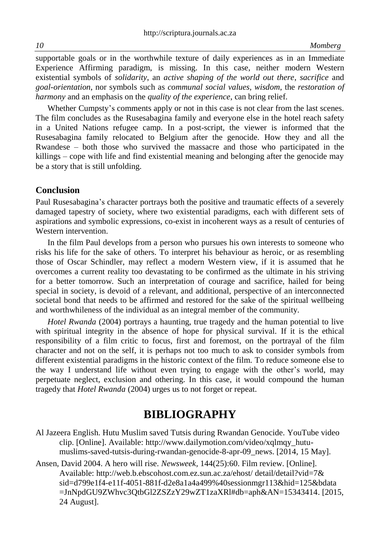supportable goals or in the worthwhile texture of daily experiences as in an Immediate Experience Affirming paradigm, is missing. In this case, neither modern Western existential symbols of *solidarity*, an *active shaping of the world out there*, *sacrifice* and *goal-orientation*, nor symbols such as *communal social values, wisdom*, the *restoration of harmony* and an emphasis on the *quality of the experience*, can bring relief.

Whether Cumpsty's comments apply or not in this case is not clear from the last scenes. The film concludes as the Rusesabagina family and everyone else in the hotel reach safety in a United Nations refugee camp. In a post-script, the viewer is informed that the Rusesabagina family relocated to Belgium after the genocide. How they and all the Rwandese – both those who survived the massacre and those who participated in the killings – cope with life and find existential meaning and belonging after the genocide may be a story that is still unfolding.

# **Conclusion**

Paul Rusesabagina's character portrays both the positive and traumatic effects of a severely damaged tapestry of society, where two existential paradigms, each with different sets of aspirations and symbolic expressions, co-exist in incoherent ways as a result of centuries of Western intervention.

In the film Paul develops from a person who pursues his own interests to someone who risks his life for the sake of others. To interpret his behaviour as heroic, or as resembling those of Oscar Schindler, may reflect a modern Western view, if it is assumed that he overcomes a current reality too devastating to be confirmed as the ultimate in his striving for a better tomorrow. Such an interpretation of courage and sacrifice, hailed for being special in society, is devoid of a relevant, and additional, perspective of an interconnected societal bond that needs to be affirmed and restored for the sake of the spiritual wellbeing and worthwhileness of the individual as an integral member of the community.

*Hotel Rwanda* (2004) portrays a haunting, true tragedy and the human potential to live with spiritual integrity in the absence of hope for physical survival. If it is the ethical responsibility of a film critic to focus, first and foremost, on the portrayal of the film character and not on the self, it is perhaps not too much to ask to consider symbols from different existential paradigms in the historic context of the film. To reduce someone else to the way I understand life without even trying to engage with the other's world, may perpetuate neglect, exclusion and othering. In this case, it would compound the human tragedy that *Hotel Rwanda* (2004) urges us to not forget or repeat.

# **BIBLIOGRAPHY**

- Al Jazeera English. Hutu Muslim saved Tutsis during Rwandan Genocide. YouTube video clip. [Online]. Available: http://www.dailymotion.com/video/xqlmqy\_hutumuslims-saved-tutsis-during-rwandan-genocide-8-apr-09\_news. [2014, 15 May].
- Ansen, David 2004. A hero will rise. *Newsweek,* 144(25):60. Film review. [Online]. Available: [http://web.b.ebscohost.com.ez.sun.ac.za/ehost/ detail/detail?vid=7&](http://web.b.ebscohost.com.ez.sun.ac.za/ehost/%20detail/detail?vid=7&%20sid=d799e1f4-e11f-4051-881f-d2e8a1a4a499%40sessionmgr113&hid=125&bdata%20=JnNpdGU9ZWhvc3QtbGl2ZSZzY29wZT1zaXRl#db=aph&AN=15343414)  [sid=d799e1f4-e11f-4051-881f-d2e8a1a4a499%40sessionmgr113&hid=125&bdata](http://web.b.ebscohost.com.ez.sun.ac.za/ehost/%20detail/detail?vid=7&%20sid=d799e1f4-e11f-4051-881f-d2e8a1a4a499%40sessionmgr113&hid=125&bdata%20=JnNpdGU9ZWhvc3QtbGl2ZSZzY29wZT1zaXRl#db=aph&AN=15343414)  [=JnNpdGU9ZWhvc3QtbGl2ZSZzY29wZT1zaXRl#db=aph&AN=15343414.](http://web.b.ebscohost.com.ez.sun.ac.za/ehost/%20detail/detail?vid=7&%20sid=d799e1f4-e11f-4051-881f-d2e8a1a4a499%40sessionmgr113&hid=125&bdata%20=JnNpdGU9ZWhvc3QtbGl2ZSZzY29wZT1zaXRl#db=aph&AN=15343414) [2015, 24 August].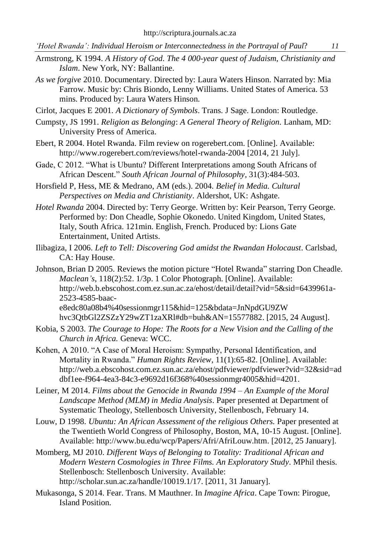- *'Hotel Rwanda': Individual Heroism or Interconnectedness in the Portrayal of Paul*? *11*
- Armstrong, K 1994. *A History of God. The 4 000-year quest of Judaism, Christianity and Islam*. New York, NY: Ballantine.
- *As we forgive* 2010. Documentary. Directed by: Laura Waters Hinson. Narrated by: Mia Farrow. Music by: Chris Biondo, Lenny Williams. United States of America. 53 mins. Produced by: Laura Waters Hinson.
- Cirlot, Jacques E 2001. *A Dictionary of Symbols*. Trans. J Sage. London: Routledge.
- Cumpsty, JS 1991. *Religion as Belonging*: *A General Theory of Religion.* Lanham, MD: University Press of America.
- Ebert, R 2004. Hotel Rwanda. Film review on rogerebert.com. [Online]. Available: [http://www.rogerebert.com/reviews/hotel-rwanda-2004 \[2014,](http://www.rogerebert.com/reviews/hotel-rwanda-2004%20%5b2014) 21 July].
- Gade, C 2012. "What is Ubuntu? Different Interpretations among South Africans of African Descent." *South African Journal of Philosophy,* 31(3):484-503.
- Horsfield P, Hess, ME & Medrano, AM (eds.). 2004. *Belief in Media. Cultural Perspectives on Media and Christianity*. Aldershot, UK: Ashgate.
- *Hotel Rwanda* 2004. Directed by: Terry George. Written by: Keir Pearson, Terry George. Performed by: Don Cheadle, Sophie Okonedo. United Kingdom, United States, Italy, South Africa. 121min. English, French. Produced by: Lions Gate Entertainment, United Artists.
- Ilibagiza, I 2006. *Left to Tell: Discovering God amidst the Rwandan Holocaust*. Carlsbad, CA: Hay House.
- Johnson, Brian D 2005. Reviews the motion picture "Hotel Rwanda" starring Don Cheadle*. Maclean's*, 118(2):52. 1/3p. 1 Color Photograph. [Online]. Available: [http://web.b.ebscohost.com.ez.sun.ac.za/ehost/detail/detail?vid=5&sid=6439961a-](http://web.b.ebscohost.com.ez.sun.ac.za/ehost/detail/detail?vid=5&sid=6439961a-2523-4585-baac-e8edc80a08b4%40sessionmgr115&hid=125&bdata=JnNpdGU9ZW%20hvc3QtbGl2ZSZzY29wZT1zaXRl#db=buh&AN=15577882)[2523-4585-baac](http://web.b.ebscohost.com.ez.sun.ac.za/ehost/detail/detail?vid=5&sid=6439961a-2523-4585-baac-e8edc80a08b4%40sessionmgr115&hid=125&bdata=JnNpdGU9ZW%20hvc3QtbGl2ZSZzY29wZT1zaXRl#db=buh&AN=15577882)[e8edc80a08b4%40sessionmgr115&hid=125&bdata=JnNpdGU9ZW](http://web.b.ebscohost.com.ez.sun.ac.za/ehost/detail/detail?vid=5&sid=6439961a-2523-4585-baac-e8edc80a08b4%40sessionmgr115&hid=125&bdata=JnNpdGU9ZW%20hvc3QtbGl2ZSZzY29wZT1zaXRl#db=buh&AN=15577882)  [hvc3QtbGl2ZSZzY29wZT1zaXRl#db=buh&AN=15577882.](http://web.b.ebscohost.com.ez.sun.ac.za/ehost/detail/detail?vid=5&sid=6439961a-2523-4585-baac-e8edc80a08b4%40sessionmgr115&hid=125&bdata=JnNpdGU9ZW%20hvc3QtbGl2ZSZzY29wZT1zaXRl#db=buh&AN=15577882) [2015, 24 August].
- Kobia, S 2003. *The Courage to Hope: The Roots for a New Vision and the Calling of the Church in Africa.* Geneva: WCC.
- Kohen, A 2010. "A Case of Moral Heroism: Sympathy, Personal Identification, and Mortality in Rwanda." *Human Rights Review*, 11(1):65-82. [Online]. Available: [http://web.a.ebscohost.com.ez.sun.ac.za/ehost/pdfviewer/pdfviewer?vid=32&sid=ad](http://web.a.ebscohost.com.ez.sun.ac.za/ehost/pdfviewer/pdfviewer?vid=32&sid=addbf1ee-f964-4ea3-84c3-e9692d16f368%40sessionmgr4005&hid=4201) [dbf1ee-f964-4ea3-84c3-e9692d16f368%40sessionmgr4005&hid=4201.](http://web.a.ebscohost.com.ez.sun.ac.za/ehost/pdfviewer/pdfviewer?vid=32&sid=addbf1ee-f964-4ea3-84c3-e9692d16f368%40sessionmgr4005&hid=4201)
- Leiner, M 2014. *Films about the Genocide in Rwanda 1994 – An Example of the Moral Landscape Method (MLM) in Media Analysis*. Paper presented at Department of Systematic Theology, Stellenbosch University, Stellenbosch, February 14.
- Louw, D 1998. *Ubuntu: An African Assessment of the religious Others.* Paper presented at the Twentieth World Congress of Philosophy, Boston, MA, 10-15 August. [Online]. Available: http:/[/www.bu.edu/wcp/Papers/Afri/AfriLouw.htm.](http://www.bu.edu/wcp/Papers/Afri/AfriLouw.htm) [2012, 25 January].
- Momberg, MJ 2010. *Different Ways of Belonging to Totality: Traditional African and Modern Western Cosmologies in Three Films. An Exploratory Study*. MPhil thesis. Stellenbosch: Stellenbosch University. Available: [http://scholar.sun.ac.za/handle/10019.1/17. \[2011,](http://scholar.sun.ac.za/handle/10019.1/17.%20%5b2011) 31 January].
- Mukasonga, S 2014. Fear. Trans. M Mauthner. In *Imagine Africa*. Cape Town: Pirogue, Island Position.